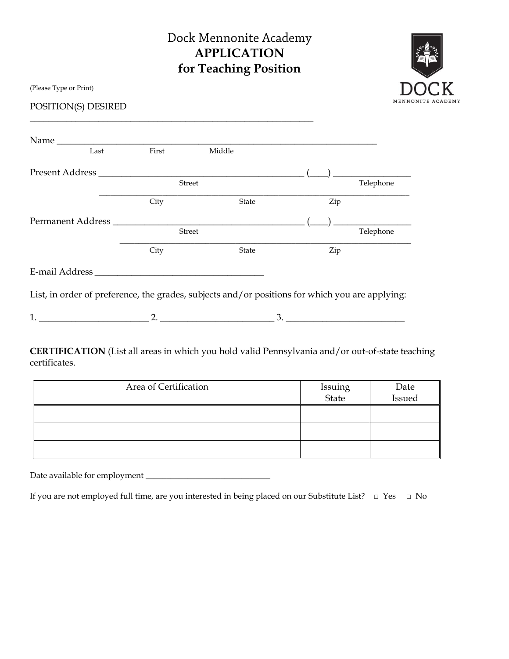# Dock Mennonite Academy **APPLICATION for Teaching Position**



(Please Type or Print)

POSITION(S) DESIRED

| Name<br>Last      | First | Middle        |     |                                                                                                                                                                                                                                                                                                                                                     |
|-------------------|-------|---------------|-----|-----------------------------------------------------------------------------------------------------------------------------------------------------------------------------------------------------------------------------------------------------------------------------------------------------------------------------------------------------|
| Present Address   |       |               |     | $\begin{picture}(20,20) \put(0,0){\line(1,0){10}} \put(15,0){\line(1,0){10}} \put(15,0){\line(1,0){10}} \put(15,0){\line(1,0){10}} \put(15,0){\line(1,0){10}} \put(15,0){\line(1,0){10}} \put(15,0){\line(1,0){10}} \put(15,0){\line(1,0){10}} \put(15,0){\line(1,0){10}} \put(15,0){\line(1,0){10}} \put(15,0){\line(1,0){10}} \put(15,0){\line(1$ |
|                   |       | <b>Street</b> |     | Telephone                                                                                                                                                                                                                                                                                                                                           |
|                   | City  | <b>State</b>  | Zip |                                                                                                                                                                                                                                                                                                                                                     |
| Permanent Address |       |               |     |                                                                                                                                                                                                                                                                                                                                                     |
|                   |       | Street        |     | Telephone                                                                                                                                                                                                                                                                                                                                           |
|                   | City  | State         | Zip |                                                                                                                                                                                                                                                                                                                                                     |
|                   |       |               |     |                                                                                                                                                                                                                                                                                                                                                     |

1. \_\_\_\_\_\_\_\_\_\_\_\_\_\_\_\_\_\_\_\_\_\_\_\_ 2. \_\_\_\_\_\_\_\_\_\_\_\_\_\_\_\_\_\_\_\_\_\_\_\_\_ 3. \_\_\_\_\_\_\_\_\_\_\_\_\_\_\_\_\_\_\_\_\_\_\_\_\_\_

**CERTIFICATION** (List all areas in which you hold valid Pennsylvania and/or out-of-state teaching certificates.

| Area of Certification | Issuing<br>State | Date<br>Issued |
|-----------------------|------------------|----------------|
|                       |                  |                |
|                       |                  |                |
|                       |                  |                |

Date available for employment \_\_\_\_\_\_\_\_\_\_\_\_\_\_\_\_\_\_\_\_\_\_\_\_\_\_\_\_\_\_

If you are not employed full time, are you interested in being placed on our Substitute List? **□** Yes **□** No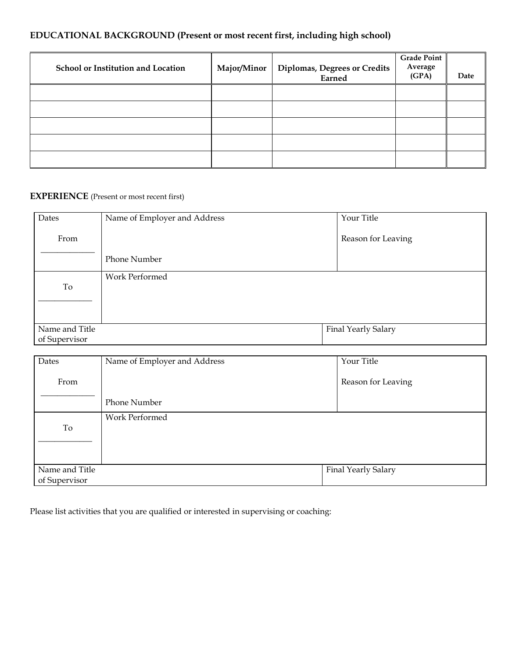# **EDUCATIONAL BACKGROUND (Present or most recent first, including high school)**

| School or Institution and Location | Major/Minor | Diplomas, Degrees or Credits<br>Earned | <b>Grade Point</b><br>Average<br>(GPA) | Date |
|------------------------------------|-------------|----------------------------------------|----------------------------------------|------|
|                                    |             |                                        |                                        |      |
|                                    |             |                                        |                                        |      |
|                                    |             |                                        |                                        |      |
|                                    |             |                                        |                                        |      |
|                                    |             |                                        |                                        |      |

# **EXPERIENCE** (Present or most recent first)

| Dates                           | Name of Employer and Address | Your Title          |
|---------------------------------|------------------------------|---------------------|
| From                            |                              | Reason for Leaving  |
|                                 | Phone Number                 |                     |
| To                              | Work Performed               |                     |
| Name and Title<br>of Supervisor |                              | Final Yearly Salary |

| Dates          | Name of Employer and Address | Your Title          |
|----------------|------------------------------|---------------------|
| From           |                              | Reason for Leaving  |
|                | <b>Phone Number</b>          |                     |
|                | Work Performed               |                     |
| To             |                              |                     |
|                |                              |                     |
|                |                              |                     |
| Name and Title |                              | Final Yearly Salary |
| of Supervisor  |                              |                     |

Please list activities that you are qualified or interested in supervising or coaching: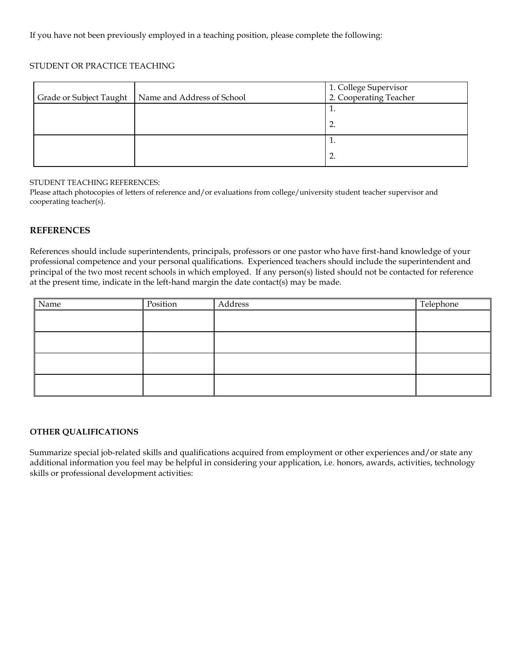#### STUDENT OR PRACTICE TEACHING

|                         |                            | 1. College Supervisor<br>2. Cooperating Teacher |
|-------------------------|----------------------------|-------------------------------------------------|
| Grade or Subject Taught | Name and Address of School |                                                 |
|                         |                            | π.                                              |
|                         |                            | ٠.                                              |
|                         |                            | <b>.</b>                                        |
|                         |                            | 2.                                              |

#### STUDENT TEACHING REFERENCES:

Please attach photocopies of letters of reference and/or evaluations from college/university student teacher supervisor and cooperating teacher(s).

#### **REFERENCES**

References should include superintendents, principals, professors or one pastor who have first-hand knowledge of your professional competence and your personal qualifications. Experienced teachers should include the superintendent and principal of the two most recent schools in which employed. If any person(s) listed should not be contacted for reference at the present time, indicate in the left-hand margin the date contact(s) may be made.

| Name | Position | Address | Telephone |
|------|----------|---------|-----------|
|      |          |         |           |
|      |          |         |           |
|      |          |         |           |
|      |          |         |           |
|      |          |         |           |
|      |          |         |           |
|      |          |         |           |
|      |          |         |           |

#### **OTHER QUALIFICATIONS**

Summarize special job-related skills and qualifications acquired from employment or other experiences and/or state any additional information you feel may be helpful in considering your application, i.e. honors, awards, activities, technology skills or professional development activities: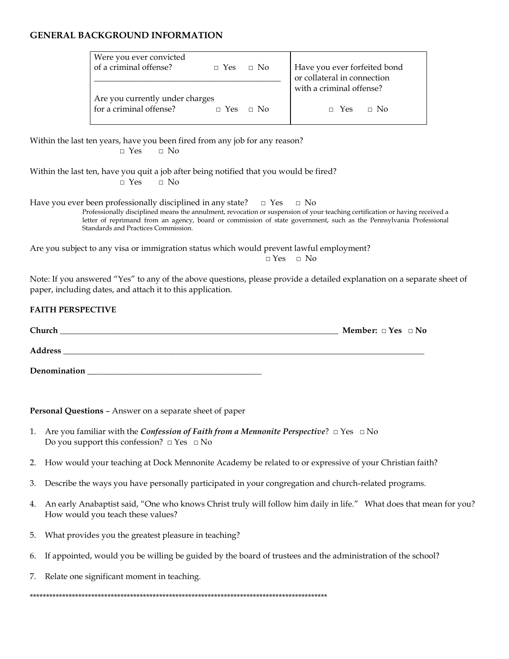## **GENERAL BACKGROUND INFORMATION**

| Were you ever convicted<br>of a criminal offense?          | $\Box$ Yes $\Box$ No | Have you ever forfeited bond<br>or collateral in connection |
|------------------------------------------------------------|----------------------|-------------------------------------------------------------|
|                                                            |                      | with a criminal offense?                                    |
| Are you currently under charges<br>for a criminal offense? | $\Box$ Yes $\Box$ No | $\Box$ Yes $\Box$ No                                        |

Within the last ten years, have you been fired from any job for any reason? **□** Yes **□** No

Within the last ten, have you quit a job after being notified that you would be fired? **□** Yes **□** No

Have you ever been professionally disciplined in any state? **□** Yes **□** No Professionally disciplined means the annulment, revocation or suspension of your teaching certification or having received a letter of reprimand from an agency, board or commission of state government, such as the Pennsylvania Professional Standards and Practices Commission.

Are you subject to any visa or immigration status which would prevent lawful employment? **□** Yes **□** No

Note: If you answered "Yes" to any of the above questions, please provide a detailed explanation on a separate sheet of paper, including dates, and attach it to this application.

## **FAITH PERSPECTIVE**

| Church  | <b>Member:</b> $\Box$ Yes $\Box$ No |  |
|---------|-------------------------------------|--|
|         |                                     |  |
| Address |                                     |  |

Denomination

**Personal Questions** – Answer on a separate sheet of paper

- 1. Are you familiar with the *Confession of Faith from a Mennonite Perspective*? □ Yes □ No Do you support this confession?  $\Box$  Yes  $\Box$  No
- 2. How would your teaching at Dock Mennonite Academy be related to or expressive of your Christian faith?
- 3. Describe the ways you have personally participated in your congregation and church-related programs.
- 4. An early Anabaptist said, "One who knows Christ truly will follow him daily in life." What does that mean for you? How would you teach these values?
- 5. What provides you the greatest pleasure in teaching?
- 6. If appointed, would you be willing be guided by the board of trustees and the administration of the school?
- 7. Relate one significant moment in teaching.

\*\*\*\*\*\*\*\*\*\*\*\*\*\*\*\*\*\*\*\*\*\*\*\*\*\*\*\*\*\*\*\*\*\*\*\*\*\*\*\*\*\*\*\*\*\*\*\*\*\*\*\*\*\*\*\*\*\*\*\*\*\*\*\*\*\*\*\*\*\*\*\*\*\*\*\*\*\*\*\*\*\*\*\*\*\*\*\*\*\*\*\*